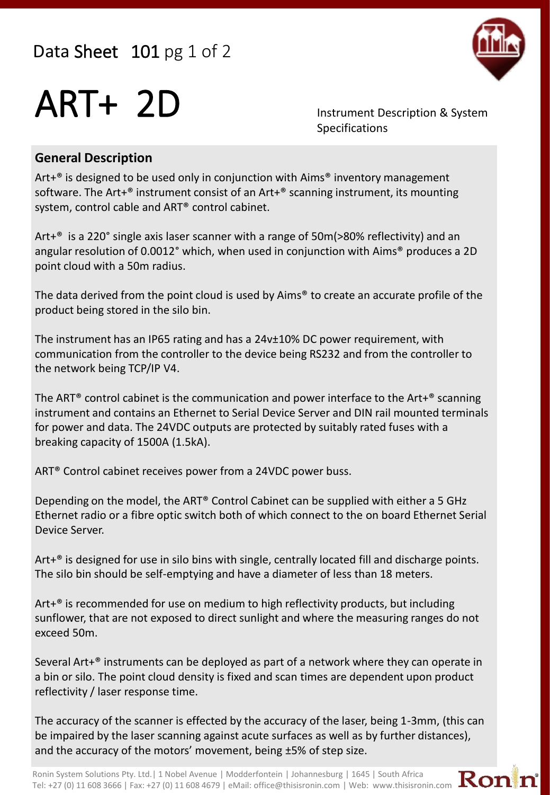Data Sheet 101 pg 1 of 2



## ART+ 2D Instrument Description & System

Specifications

## **General Description**

Art+® is designed to be used only in conjunction with Aims® inventory management software. The Art+® instrument consist of an Art+® scanning instrument, its mounting system, control cable and ART® control cabinet.

Art+® is a 220° single axis laser scanner with a range of 50m(>80% reflectivity) and an angular resolution of 0.0012° which, when used in conjunction with Aims® produces a 2D point cloud with a 50m radius.

The data derived from the point cloud is used by Aims® to create an accurate profile of the product being stored in the silo bin.

The instrument has an IP65 rating and has a 24v±10% DC power requirement, with communication from the controller to the device being RS232 and from the controller to the network being TCP/IP V4.

The ART® control cabinet is the communication and power interface to the Art+® scanning instrument and contains an Ethernet to Serial Device Server and DIN rail mounted terminals for power and data. The 24VDC outputs are protected by suitably rated fuses with a breaking capacity of 1500A (1.5kA).

ART® Control cabinet receives power from a 24VDC power buss.

Depending on the model, the ART® Control Cabinet can be supplied with either a 5 GHz Ethernet radio or a fibre optic switch both of which connect to the on board Ethernet Serial Device Server.

Art+® is designed for use in silo bins with single, centrally located fill and discharge points. The silo bin should be self-emptying and have a diameter of less than 18 meters.

Art+® is recommended for use on medium to high reflectivity products, but including sunflower, that are not exposed to direct sunlight and where the measuring ranges do not exceed 50m.

Several Art $+^{\circ}$  instruments can be deployed as part of a network where they can operate in a bin or silo. The point cloud density is fixed and scan times are dependent upon product reflectivity / laser response time.

The accuracy of the scanner is effected by the accuracy of the laser, being 1-3mm, (this can be impaired by the laser scanning against acute surfaces as well as by further distances), and the accuracy of the motors' movement, being  $±5%$  of step size.